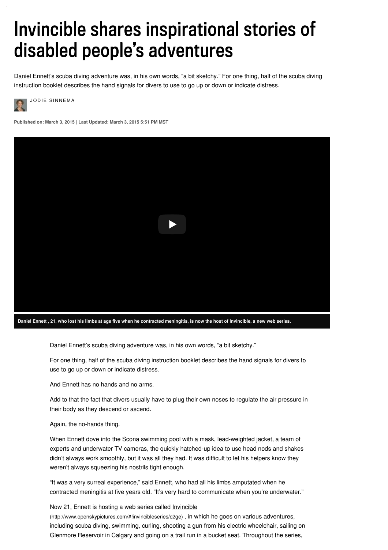# Invincible shares inspirational stories of disabled people's adventures

Daniel Ennett's scuba diving adventure was, in his own words, "a bit sketchy." For one thing, half of the scuba diving instruction booklet describes the hand signals for divers to use to go up or down or indicate distress.



JODIE SINNEMA

**Published on: March 3, 2015 | Last Updated: March 3, 2015 5:51 PM MST**



Daniel Ennett's scuba diving adventure was, in his own words, "a bit sketchy."

For one thing, half of the scuba diving instruction booklet describes the hand signals for divers to use to go up or down or indicate distress.

And Ennett has no hands and no arms.

Add to that the fact that divers usually have to plug their own noses to regulate the air pressure in their body as they descend or ascend.

#### Again, the no-hands thing.

When Ennett dove into the Scona swimming pool with a mask, lead-weighted jacket, a team of experts and underwater TV cameras, the quickly hatched-up idea to use head nods and shakes didn't always work smoothly, but it was all they had. It was difficult to let his helpers know they weren't always squeezing his nostrils tight enough.

"It was a very surreal experience," said Ennett, who had all his limbs amputated when he contracted meningitis at five years old. "It's very hard to communicate when you're underwater."

#### Now 21, Ennett is hosting a web series called *Invincible*

[\(http://www.openskypictures.com/#!invincibleseries/c2ge\)](http://www.openskypictures.com/#!invincibleseries/c2ge) , in which he goes on various adventures, including scuba diving, swimming, curling, shooting a gun from his electric wheelchair, sailing on Glenmore Reservoir in Calgary and going on a trail run in a bucket seat. Throughout the series,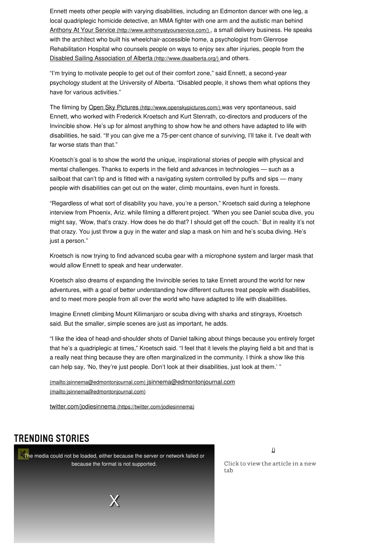Ennett meets other people with varying disabilities, including an Edmonton dancer with one leg, a local quadriplegic homicide detective, an MMA fighter with one arm and the autistic man behind Anthony At Your Service [\(http://www.anthonyatyourservice.com/\)](http://www.anthonyatyourservice.com/), a small delivery business. He speaks with the architect who built his wheelchair-accessible home, a psychologist from Glenrose Rehabilitation Hospital who counsels people on ways to enjoy sex after injuries, people from the Disabled Sailing Association of Alberta [\(http://www.dsaalberta.org/\)](http://www.dsaalberta.org/) and others.

"I'm trying to motivate people to get out of their comfort zone," said Ennett, a second-year psychology student at the University of Alberta. "Disabled people, it shows them what options they have for various activities."

The filming by Open Sky Pictures [\(http://www.openskypictures.com/\)](http://www.openskypictures.com/) was very spontaneous, said Ennett, who worked with Frederick Kroetsch and Kurt Stenrath, co-directors and producers of the Invincible show. He's up for almost anything to show how he and others have adapted to life with disabilities, he said. "If you can give me a 75-per-cent chance of surviving, I'll take it. I've dealt with far worse stats than that."

Kroetsch's goal is to show the world the unique, inspirational stories of people with physical and mental challenges. Thanks to experts in the field and advances in technologies — such as a sailboat that can't tip and is fitted with a navigating system controlled by puffs and sips — many people with disabilities can get out on the water, climb mountains, even hunt in forests.

"Regardless of what sort of disability you have, you're a person," Kroetsch said during a telephone interview from Phoenix, Ariz. while filming a different project. "When you see Daniel scuba dive, you might say, 'Wow, that's crazy. How does he do that? I should get off the couch.' But in reality it's not that crazy. You just throw a guy in the water and slap a mask on him and he's scuba diving. He's just a person."

Kroetsch is now trying to find advanced scuba gear with a microphone system and larger mask that would allow Ennett to speak and hear underwater.

Kroetsch also dreams of expanding the Invincible series to take Ennett around the world for new adventures, with a goal of better understanding how different cultures treat people with disabilities, and to meet more people from all over the world who have adapted to life with disabilities.

Imagine Ennett climbing Mount Kilimanjaro or scuba diving with sharks and stingrays, Kroetsch said. But the smaller, simple scenes are just as important, he adds.

"I like the idea of head-and-shoulder shots of Daniel talking about things because you entirely forget that he's a quadriplegic at times," Kroetsch said. "I feel that it levels the playing field a bit and that is a really neat thing because they are often marginalized in the community. I think a show like this can help say, 'No, they're just people. Don't look at their disabilities, just look at them.' "

[\(mailto:jsinnema@edmontonjournal.com\)](mailto:jsinnema@edmontonjournal.com) [jsinnema@edmontonjournal.com](mailto:jsinnema@edmontonjournal.com) (mailto:jsinnema@edmontonjournal.com)

twitter.com/jodiesinnema [\(https://twitter.com/jodiesinnema\)](https://twitter.com/jodiesinnema)

## **TRENDING STORIES**

The media could not be loaded, either because the server or network failed or because the format is not supported.

 $\overline{0}$ 

Click to view the article in a new tab